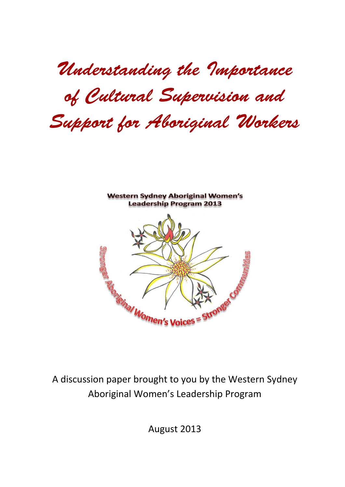Understanding the Importance of Cultural Supervision and Support for Aboriginal Workers



A discussion paper brought to you by the Western Sydney Aboriginal Women's Leadership Program

August 2013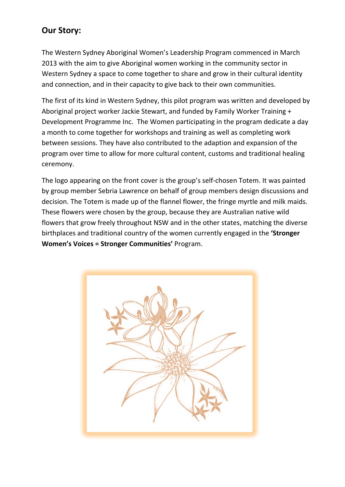# **Our Story:**

The Western Sydney Aboriginal Women's Leadership Program commenced in March 2013 with the aim to give Aboriginal women working in the community sector in Western Sydney a space to come together to share and grow in their cultural identity and connection, and in their capacity to give back to their own communities.

The first of its kind in Western Sydney, this pilot program was written and developed by Aboriginal project worker Jackie Stewart, and funded by Family Worker Training + Development Programme Inc. The Women participating in the program dedicate a day a month to come together for workshops and training as well as completing work between sessions. They have also contributed to the adaption and expansion of the program over time to allow for more cultural content, customs and traditional healing ceremony.

The logo appearing on the front cover is the group's self-chosen Totem. It was painted by group member Sebria Lawrence on behalf of group members design discussions and decision. The Totem is made up of the flannel flower, the fringe myrtle and milk maids. These flowers were chosen by the group, because they are Australian native wild flowers that grow freely throughout NSW and in the other states, matching the diverse birthplaces and traditional country of the women currently engaged in the **'Stronger Women's Voices = Stronger Communities'** Program.

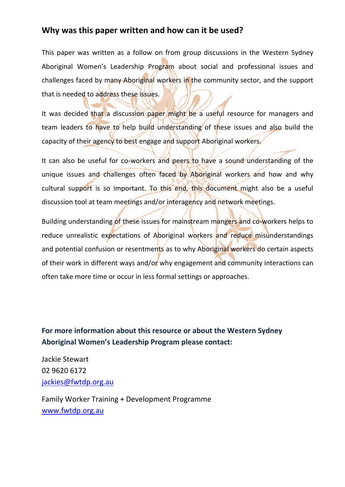## **Why was this paper written and how can it be used?**

This paper was written as a follow on from group discussions in the Western Sydney Aboriginal Women's Leadership Program about social and professional issues and challenges faced by many Aboriginal workers in the community sector, and the support that is needed to address these issues.

It was decided that a discussion paper might be a useful resource for managers and team leaders to have to help build understanding of these issues and also build the capacity of their agency to best engage and support Aboriginal workers.

It can also be useful for co-workers and peers to have a sound understanding of the unique issues and challenges often faced by Aboriginal workers and how and why cultural support is so important. To this end, this document might also be a useful discussion tool at team meetings and/or interagency and network meetings.

Building understanding of these issues for mainstream mangers and co-workers helps to reduce unrealistic expectations of Aboriginal workers and reduce misunderstandings and potential confusion or resentments as to why Aboriginal workers do certain aspects of their work in different ways and/or why engagement and community interactions can often take more time or occur in less formal settings or approaches.

## **For more information about this resource or about the Western Sydney Aboriginal Women's Leadership Program please contact:**

Jackie Stewart 02 9620 6172 jackies@fwtdp.org.au

Family Worker Training + Development Programme www.fwtdp.org.au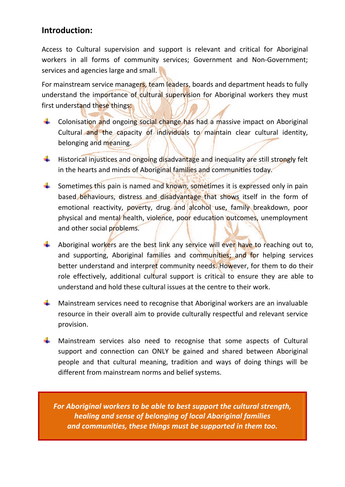## **Introduction:**

Access to Cultural supervision and support is relevant and critical for Aboriginal workers in all forms of community services; Government and Non-Government; services and agencies large and small.

For mainstream service managers, team leaders, boards and department heads to fully understand the importance of cultural supervision for Aboriginal workers they must first understand these things:

- Colonisation and ongoing social change has had a massive impact on Aboriginal Cultural and the capacity of individuals to maintain clear cultural identity, belonging and meaning.
- $\ddot{+}$  Historical injustices and ongoing disadvantage and inequality are still strongly felt in the hearts and minds of Aboriginal families and communities today.
- Sometimes this pain is named and known, sometimes it is expressed only in pain based behaviours, distress and disadvantage that shows itself in the form of emotional reactivity, poverty, drug and alcohol use, family breakdown, poor physical and mental health, violence, poor education outcomes, unemployment and other social problems.
- Aboriginal workers are the best link any service will ever have to reaching out to, and supporting, Aboriginal families and communities; and for helping services better understand and interpret community needs. However, for them to do their role effectively, additional cultural support is critical to ensure they are able to understand and hold these cultural issues at the centre to their work.
- Mainstream services need to recognise that Aboriginal workers are an invaluable ₩. resource in their overall aim to provide culturally respectful and relevant service provision.
- Mainstream services also need to recognise that some aspects of Cultural support and connection can ONLY be gained and shared between Aboriginal people and that cultural meaning, tradition and ways of doing things will be different from mainstream norms and belief systems.

*For Aboriginal workers to be able to best support the cultural strength, healing and sense of belonging of local Aboriginal families and communities, these things must be supported in them too.*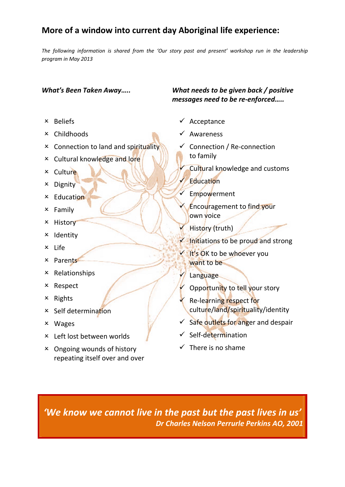# **More of a window into current day Aboriginal life experience:**

*The following information is shared from the 'Our story past and present' workshop run in the leadership program in May 2013*

- $\times$  Beliefs
- Childhoods
- Connection to land and spirituality
- Cultural knowledge and lore
- **x** Culture
- **x** Dignity
- $\times$  Education
- $x$  Family
- **x** History
- **x** Identity
- Life
- Parents
- $x$  Relationships
- Respect
- $\times$  Rights
- $\times$  Self determination
- Wages
- Left lost between worlds
- Ongoing wounds of history repeating itself over and over

### *What's Been Taken Away….. What needs to be given back / positive messages need to be re‐enforced…..*

- $\checkmark$  Acceptance
- $\checkmark$  Awareness
- Connection / Re‐connection to family
	- Cultural knowledge and customs
	- Education
- $\checkmark$  Empowerment
	- Encouragement to find your own voice
	- History (truth)
- $\sqrt{\frac{1}{1}}$  Initiations to be proud and strong
- It's OK to be whoever you want to be
	- **Language**
	- Opportunity to tell your story
- **★** Re-learning respect for culture/land/spirituality/identity
- $\checkmark$  Safe outlets for anger and despair
- $\checkmark$  Self-determination
- $\checkmark$  There is no shame

*'We know we cannot live in the past but the past lives in us' Dr Charles Nelson Perrurle Perkins AO, 2001*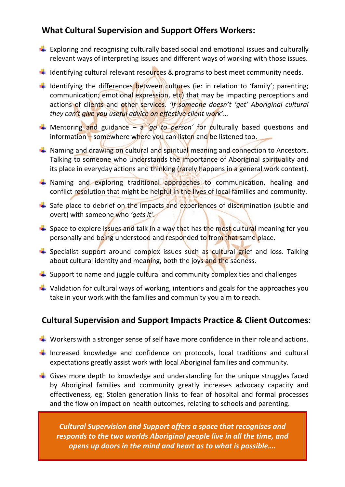# **What Cultural Supervision and Support Offers Workers:**

- $\downarrow$  Exploring and recognising culturally based social and emotional issues and culturally relevant ways of interpreting issues and different ways of working with those issues.
- $\downarrow$  Identifying cultural relevant resources & programs to best meet community needs.
- $\downarrow$  Identifying the differences between cultures (ie: in relation to 'family'; parenting; communication; emotional expression, etc) that may be impacting perceptions and actions of clients and other services. *'If someone doesn't 'get' Aboriginal cultural they can't give you useful advice on effective client work'*…
- Mentoring and guidance a *'go to person'* for culturally based questions and information – somewhere where you can listen and be listened too.
- $\ddot{+}$  Naming and drawing on cultural and spiritual meaning and connection to Ancestors. Talking to someone who understands the importance of Aboriginal spirituality and its place in everyday actions and thinking (rarely happens in a general work context).
- $\downarrow$  Naming and exploring traditional approaches to communication, healing and conflict resolution that might be helpful in the lives of local families and community.
- $\ddot{+}$  Safe place to debrief on the impacts and experiences of discrimination (subtle and overt) with someone who *'gets it'.*
- $\frac{1}{\sqrt{1}}$  Space to explore issues and talk in a way that has the most cultural meaning for you personally and being understood and responded to from that same place.
- $\frac{1}{\sqrt{2}}$  Specialist support around complex issues such as cultural grief and loss. Talking about cultural identity and meaning, both the joys and the sadness.
- $\div$  Support to name and juggle cultural and community complexities and challenges
- $\downarrow$  Validation for cultural ways of working, intentions and goals for the approaches you take in your work with the families and community you aim to reach.

# **Cultural Supervision and Support Impacts Practice & Client Outcomes:**

- $\downarrow$  Workers with a stronger sense of self have more confidence in their role and actions.
- $\downarrow$  Increased knowledge and confidence on protocols, local traditions and cultural expectations greatly assist work with local Aboriginal families and community.
- $\downarrow$  Gives more depth to knowledge and understanding for the unique struggles faced by Aboriginal families and community greatly increases advocacy capacity and effectiveness, eg: Stolen generation links to fear of hospital and formal processes and the flow on impact on health outcomes, relating to schools and parenting.

*Cultural Supervision and Support offers a space that recognises and responds to the two worlds Aboriginal people live in all the time, and opens up doors in the mind and heart as to what is possible….*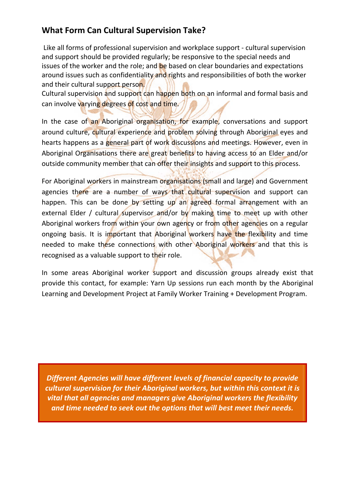# **What Form Can Cultural Supervision Take?**

Like all forms of professional supervision and workplace support ‐ cultural supervision and support should be provided regularly; be responsive to the special needs and issues of the worker and the role; and be based on clear boundaries and expectations around issues such as confidentiality and rights and responsibilities of both the worker and their cultural support person.

Cultural supervision and support can happen both on an informal and formal basis and can involve varying degrees of cost and time.

In the case of an Aboriginal organisation, for example, conversations and support around culture, cultural experience and problem solving through Aboriginal eyes and hearts happens as a general part of work discussions and meetings. However, even in Aboriginal Organisations there are great benefits to having access to an Elder and/or outside community member that can offer their insights and support to this process.

For Aboriginal workers in mainstream organisations (small and large) and Government agencies there are a number of ways that cultural supervision and support can happen. This can be done by setting up an agreed formal arrangement with an external Elder / cultural supervisor and/or by making time to meet up with other Aboriginal workers from within your own agency or from other agencies on a regular ongoing basis. It is important that Aboriginal workers have the flexibility and time needed to make these connections with other Aboriginal workers and that this is recognised as a valuable support to their role.

In some areas Aboriginal worker support and discussion groups already exist that provide this contact, for example: Yarn Up sessions run each month by the Aboriginal Learning and Development Project at Family Worker Training + Development Program.

*Different Agencies will have different levels of financial capacity to provide cultural supervision for their Aboriginal workers, but within this context it is vital that all agencies and managers give Aboriginal workers the flexibility and time needed to seek out the options that will best meet their needs.*